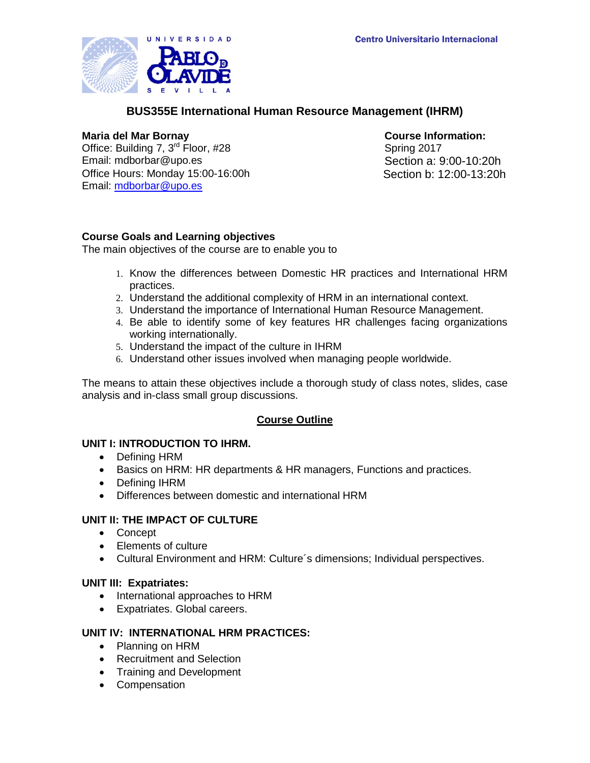

# **BUS355E International Human Resource Management (IHRM)**

Office: Building 7,  $3<sup>rd</sup>$  Floor, #28 Email: mdborbar@upo.es Section a: 9:00-10:20h Office Hours: Monday 15:00-16:00h Email: [mdborbar@upo.es](mailto:mdborbar@upo.es)

**Maria del Mar Bornay Course Information:**<br>
Office: Building 7, 3<sup>rd</sup> Floor, #28 **Course Information:**<br>
Spring 2017 Section b: 12:00-13:20h

# **Course Goals and Learning objectives**

The main objectives of the course are to enable you to

- 1. Know the differences between Domestic HR practices and International HRM practices.
- 2. Understand the additional complexity of HRM in an international context.
- 3. Understand the importance of International Human Resource Management.
- 4. Be able to identify some of key features HR challenges facing organizations working internationally.
- 5. Understand the impact of the culture in IHRM
- 6. Understand other issues involved when managing people worldwide.

The means to attain these objectives include a thorough study of class notes, slides, case analysis and in-class small group discussions.

# **Course Outline**

## **UNIT I: INTRODUCTION TO IHRM.**

- Defining HRM
- Basics on HRM: HR departments & HR managers, Functions and practices.
- Defining IHRM
- Differences between domestic and international HRM

# **UNIT II: THE IMPACT OF CULTURE**

- Concept
- Elements of culture
- Cultural Environment and HRM: Culture´s dimensions; Individual perspectives.

# **UNIT III: Expatriates:**

- International approaches to HRM
- Expatriates. Global careers.

# **UNIT IV: INTERNATIONAL HRM PRACTICES:**

- Planning on HRM
- Recruitment and Selection
- Training and Development
- Compensation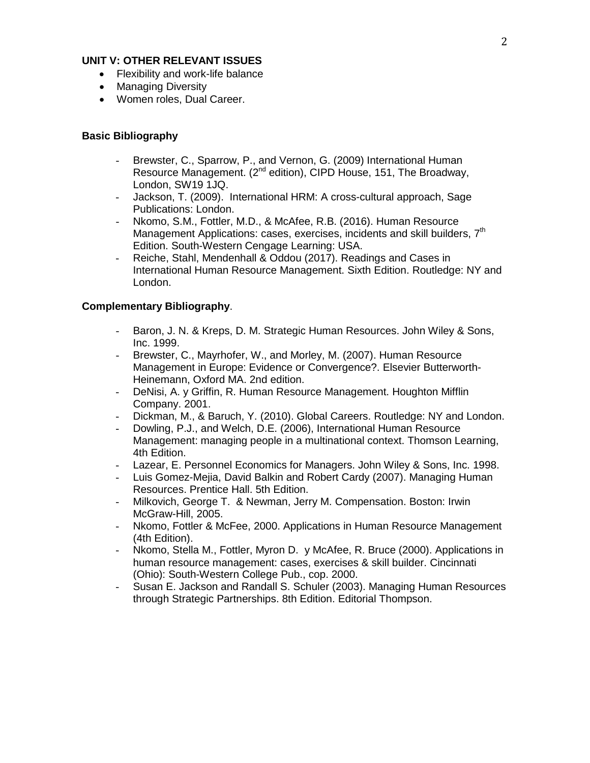## **UNIT V: OTHER RELEVANT ISSUES**

- Flexibility and work-life balance
- Managing Diversity
- Women roles, Dual Career.

## **Basic Bibliography**

- Brewster, C., Sparrow, P., and Vernon, G. (2009) International Human Resource Management. (2<sup>nd</sup> edition), CIPD House, 151, The Broadway, London, SW19 1JQ.
- Jackson, T. (2009). International HRM: A cross-cultural approach, Sage Publications: London.
- Nkomo, S.M., Fottler, M.D., & McAfee, R.B. (2016). Human Resource Management Applications: cases, exercises, incidents and skill builders. 7<sup>th</sup> Edition. South-Western Cengage Learning: USA.
- Reiche, Stahl, Mendenhall & Oddou (2017). Readings and Cases in International Human Resource Management. Sixth Edition. Routledge: NY and London.

## **Complementary Bibliography**.

- Baron, J. N. & Kreps, D. M. Strategic Human Resources. John Wiley & Sons, Inc. 1999.
- Brewster, C., Mayrhofer, W., and Morley, M. (2007). Human Resource Management in Europe: Evidence or Convergence?. Elsevier Butterworth-Heinemann, Oxford MA. 2nd edition.
- DeNisi, A. y Griffin, R. Human Resource Management. Houghton Mifflin Company. 2001.
- Dickman, M., & Baruch, Y. (2010). Global Careers. Routledge: NY and London.
- Dowling, P.J., and Welch, D.E. (2006), International Human Resource Management: managing people in a multinational context. Thomson Learning, 4th Edition.
- Lazear, E. Personnel Economics for Managers. John Wiley & Sons, Inc. 1998.
- Luis Gomez-Mejia, David Balkin and Robert Cardy (2007). Managing Human Resources. Prentice Hall. 5th Edition.
- Milkovich, George T. & Newman, Jerry M. Compensation. Boston: Irwin McGraw-Hill, 2005.
- Nkomo, Fottler & McFee, 2000. Applications in Human Resource Management (4th Edition).
- Nkomo, Stella M., Fottler, Myron D. y McAfee, R. Bruce (2000). Applications in human resource management: cases, exercises & skill builder. Cincinnati (Ohio): South-Western College Pub., cop. 2000.
- Susan E. Jackson and Randall S. Schuler (2003). Managing Human Resources through Strategic Partnerships. 8th Edition. Editorial Thompson.